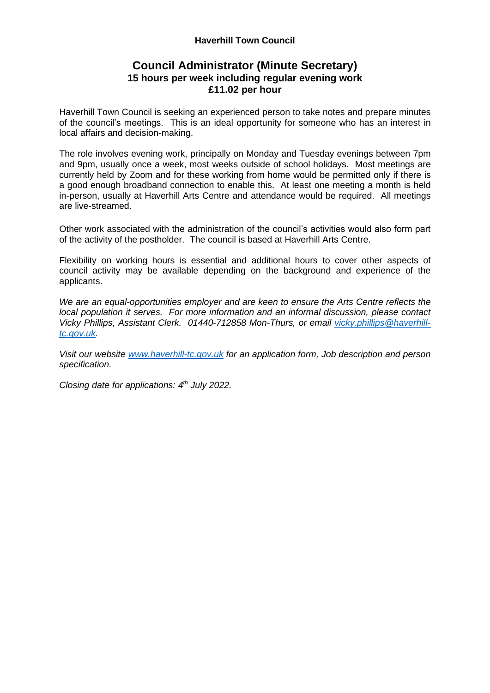#### **Haverhill Town Council**

## **Council Administrator (Minute Secretary) 15 hours per week including regular evening work £11.02 per hour**

Haverhill Town Council is seeking an experienced person to take notes and prepare minutes of the council's meetings. This is an ideal opportunity for someone who has an interest in local affairs and decision-making.

The role involves evening work, principally on Monday and Tuesday evenings between 7pm and 9pm, usually once a week, most weeks outside of school holidays. Most meetings are currently held by Zoom and for these working from home would be permitted only if there is a good enough broadband connection to enable this. At least one meeting a month is held in-person, usually at Haverhill Arts Centre and attendance would be required. All meetings are live-streamed.

Other work associated with the administration of the council's activities would also form part of the activity of the postholder. The council is based at Haverhill Arts Centre.

Flexibility on working hours is essential and additional hours to cover other aspects of council activity may be available depending on the background and experience of the applicants.

*We are an equal-opportunities employer and are keen to ensure the Arts Centre reflects the local population it serves. For more information and an informal discussion, please contact Vicky Phillips, Assistant Clerk. 01440-712858 Mon-Thurs, or email [vicky.phillips@haverhill](mailto:vicky.phillips@haverhill-tc.gov.uk)[tc.gov.uk.](mailto:vicky.phillips@haverhill-tc.gov.uk)*

*Visit our website [www.haverhill-tc.gov.uk](http://www.haverhill-tc.gov.uk/) for an application form, Job description and person specification.*

*Closing date for applications: 4 th July 2022.*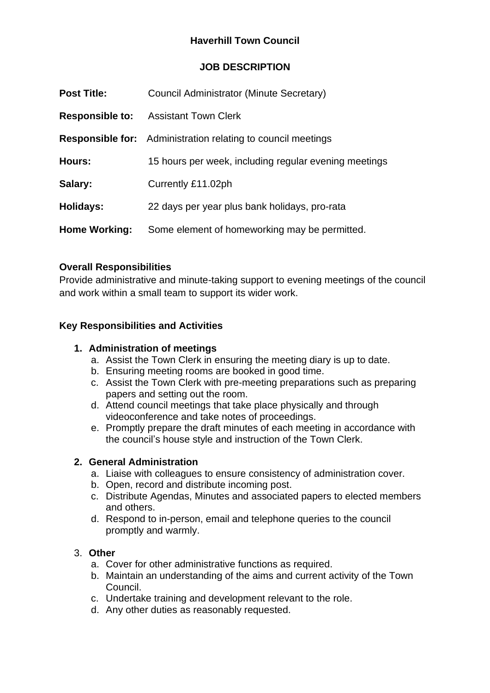## **Haverhill Town Council**

## **JOB DESCRIPTION**

| <b>Post Title:</b>     | Council Administrator (Minute Secretary)                            |
|------------------------|---------------------------------------------------------------------|
| <b>Responsible to:</b> | <b>Assistant Town Clerk</b>                                         |
|                        | <b>Responsible for:</b> Administration relating to council meetings |
| Hours:                 | 15 hours per week, including regular evening meetings               |
| Salary:                | Currently £11.02ph                                                  |
| Holidays:              | 22 days per year plus bank holidays, pro-rata                       |
| <b>Home Working:</b>   | Some element of homeworking may be permitted.                       |

## **Overall Responsibilities**

Provide administrative and minute-taking support to evening meetings of the council and work within a small team to support its wider work.

## **Key Responsibilities and Activities**

#### **1. Administration of meetings**

- a. Assist the Town Clerk in ensuring the meeting diary is up to date.
- b. Ensuring meeting rooms are booked in good time.
- c. Assist the Town Clerk with pre-meeting preparations such as preparing papers and setting out the room.
- d. Attend council meetings that take place physically and through videoconference and take notes of proceedings.
- e. Promptly prepare the draft minutes of each meeting in accordance with the council's house style and instruction of the Town Clerk.

#### **2. General Administration**

- a. Liaise with colleagues to ensure consistency of administration cover.
- b. Open, record and distribute incoming post.
- c. Distribute Agendas, Minutes and associated papers to elected members and others.
- d. Respond to in-person, email and telephone queries to the council promptly and warmly.

#### 3. **Other**

- a. Cover for other administrative functions as required.
- b. Maintain an understanding of the aims and current activity of the Town Council.
- c. Undertake training and development relevant to the role.
- d. Any other duties as reasonably requested.